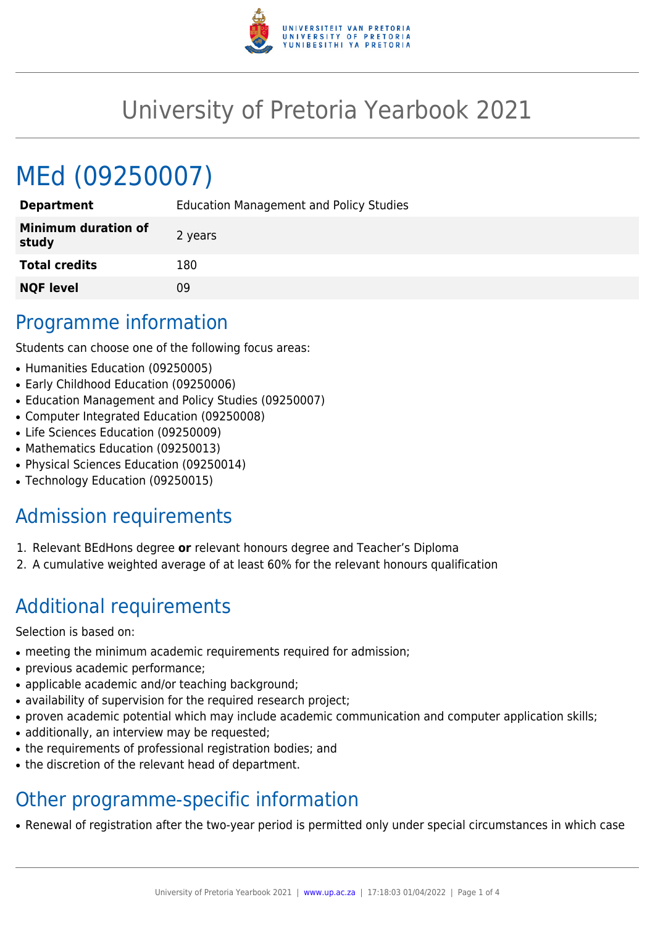

## University of Pretoria Yearbook 2021

# MEd (09250007)

| <b>Education Management and Policy Studies</b> |
|------------------------------------------------|
| 2 years                                        |
| 180                                            |
| 09                                             |
|                                                |

#### Programme information

Students can choose one of the following focus areas:

- Humanities Education (09250005)
- Early Childhood Education (09250006)
- Education Management and Policy Studies (09250007)
- Computer Integrated Education (09250008)
- Life Sciences Education (09250009)
- Mathematics Education (09250013)
- Physical Sciences Education (09250014)
- Technology Education (09250015)

### Admission requirements

- 1. Relevant BEdHons degree **or** relevant honours degree and Teacher's Diploma
- 2. A cumulative weighted average of at least 60% for the relevant honours qualification

### Additional requirements

Selection is based on:

- meeting the minimum academic requirements required for admission;
- previous academic performance;
- applicable academic and/or teaching background;
- availability of supervision for the required research project;
- proven academic potential which may include academic communication and computer application skills;
- additionally, an interview may be requested;
- the requirements of professional registration bodies; and
- the discretion of the relevant head of department.

### Other programme-specific information

• Renewal of registration after the two-year period is permitted only under special circumstances in which case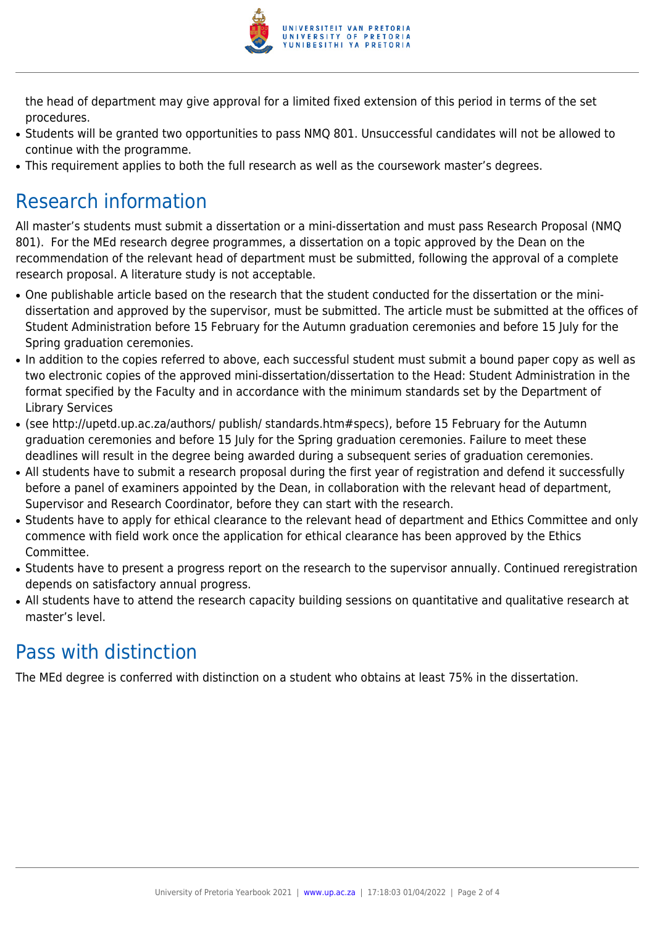

the head of department may give approval for a limited fixed extension of this period in terms of the set procedures.

- Students will be granted two opportunities to pass NMQ 801. Unsuccessful candidates will not be allowed to continue with the programme.
- This requirement applies to both the full research as well as the coursework master's degrees.

### Research information

All master's students must submit a dissertation or a mini-dissertation and must pass Research Proposal (NMQ 801). For the MEd research degree programmes, a dissertation on a topic approved by the Dean on the recommendation of the relevant head of department must be submitted, following the approval of a complete research proposal. A literature study is not acceptable.

- One publishable article based on the research that the student conducted for the dissertation or the minidissertation and approved by the supervisor, must be submitted. The article must be submitted at the offices of Student Administration before 15 February for the Autumn graduation ceremonies and before 15 July for the Spring graduation ceremonies.
- In addition to the copies referred to above, each successful student must submit a bound paper copy as well as two electronic copies of the approved mini-dissertation/dissertation to the Head: Student Administration in the format specified by the Faculty and in accordance with the minimum standards set by the Department of Library Services
- (see http://upetd.up.ac.za/authors/ publish/ standards.htm#specs), before 15 February for the Autumn graduation ceremonies and before 15 July for the Spring graduation ceremonies. Failure to meet these deadlines will result in the degree being awarded during a subsequent series of graduation ceremonies.
- All students have to submit a research proposal during the first year of registration and defend it successfully before a panel of examiners appointed by the Dean, in collaboration with the relevant head of department, Supervisor and Research Coordinator, before they can start with the research.
- Students have to apply for ethical clearance to the relevant head of department and Ethics Committee and only commence with field work once the application for ethical clearance has been approved by the Ethics Committee.
- Students have to present a progress report on the research to the supervisor annually. Continued reregistration depends on satisfactory annual progress.
- All students have to attend the research capacity building sessions on quantitative and qualitative research at master's level.

### Pass with distinction

The MEd degree is conferred with distinction on a student who obtains at least 75% in the dissertation.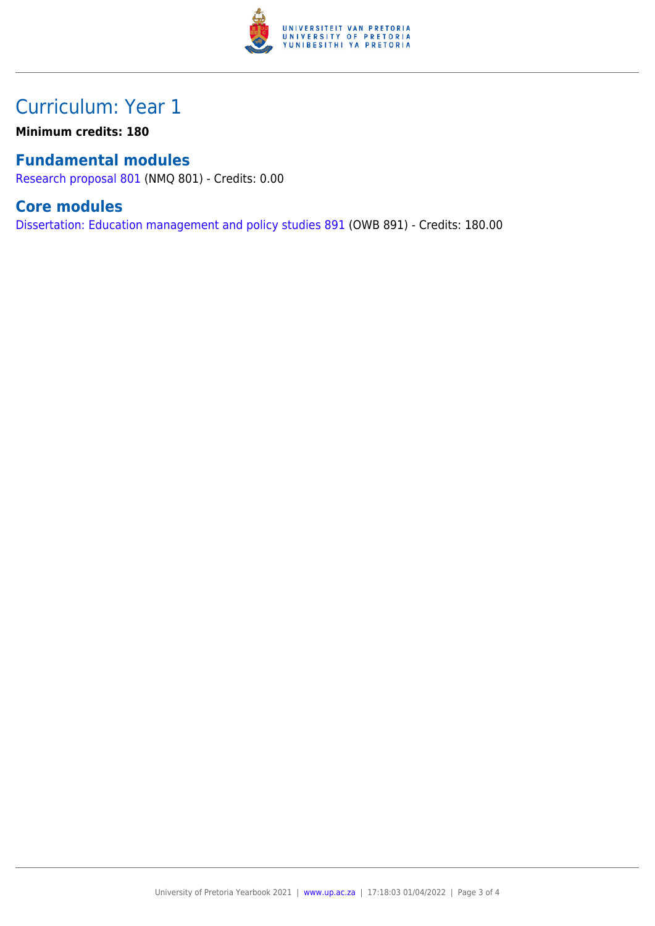

### Curriculum: Year 1

**Minimum credits: 180**

#### **Fundamental modules**

[Research proposal 801](https://www.up.ac.za/yearbooks/2021/modules/view/NMQ 801) (NMQ 801) - Credits: 0.00

#### **Core modules**

[Dissertation: Education management and policy studies 891](https://www.up.ac.za/yearbooks/2021/modules/view/OWB 891) (OWB 891) - Credits: 180.00